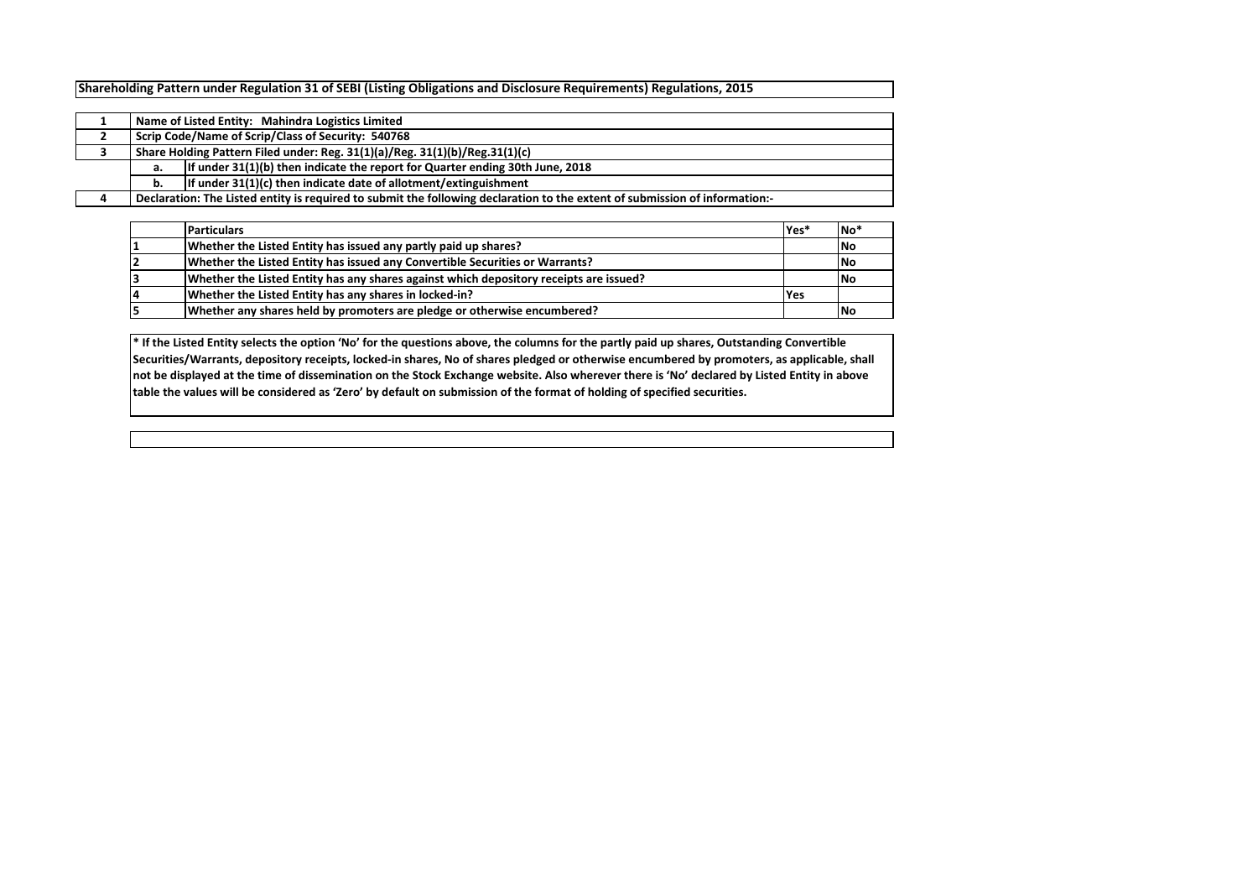**Shareholding Pattern under Regulation 31 of SEBI (Listing Obligations and Disclosure Requirements) Regulations, 2015**

|   |                                                                             | Name of Listed Entity: Mahindra Logistics Limited                                                                           |  |  |  |  |  |  |  |  |  |
|---|-----------------------------------------------------------------------------|-----------------------------------------------------------------------------------------------------------------------------|--|--|--|--|--|--|--|--|--|
|   |                                                                             | Scrip Code/Name of Scrip/Class of Security: 540768                                                                          |  |  |  |  |  |  |  |  |  |
|   | Share Holding Pattern Filed under: Reg. 31(1)(a)/Reg. 31(1)(b)/Reg.31(1)(c) |                                                                                                                             |  |  |  |  |  |  |  |  |  |
|   | а.                                                                          | If under $31(1)(b)$ then indicate the report for Quarter ending 30th June, 2018                                             |  |  |  |  |  |  |  |  |  |
|   | b.                                                                          | If under 31(1)(c) then indicate date of allotment/extinguishment                                                            |  |  |  |  |  |  |  |  |  |
| 4 |                                                                             | Declaration: The Listed entity is required to submit the following declaration to the extent of submission of information:- |  |  |  |  |  |  |  |  |  |

| <b>Particulars</b>                                                                     | Yes* | No <sup>*</sup> |
|----------------------------------------------------------------------------------------|------|-----------------|
| Whether the Listed Entity has issued any partly paid up shares?                        |      | <b>No</b>       |
| Whether the Listed Entity has issued any Convertible Securities or Warrants?           |      | <b>INo</b>      |
| Whether the Listed Entity has any shares against which depository receipts are issued? |      | <b>INo</b>      |
| Whether the Listed Entity has any shares in locked-in?                                 | Yes  |                 |
| Whether any shares held by promoters are pledge or otherwise encumbered?               |      | <b>No</b>       |

**\* If the Listed Entity selects the option 'No' for the questions above, the columns for the partly paid up shares, Outstanding Convertible Securities/Warrants, depository receipts, locked-in shares, No of shares pledged or otherwise encumbered by promoters, as applicable, shall not be displayed at the time of dissemination on the Stock Exchange website. Also wherever there is 'No' declared by Listed Entity in above table the values will be considered as 'Zero' by default on submission of the format of holding of specified securities.**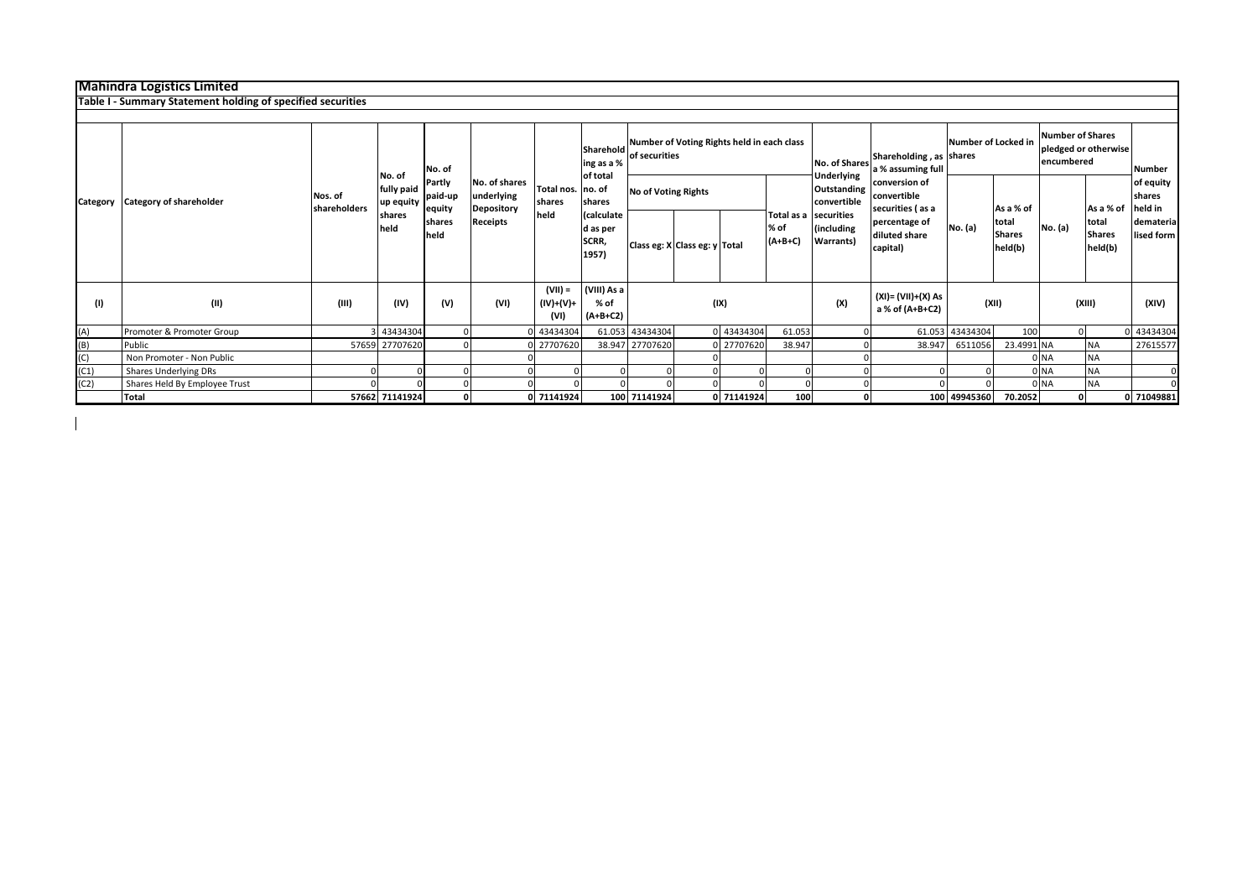## **Mahindra Logistics Limited**

 $\overline{\phantom{a}}$ 

|          | Table I - Summary Statement holding of specified securities |                         |                                   |                             |                                                  |                                |                                          |                                                             |  |            |                   |                                                          |                                                  |                     |                                   |                                                               |                                   |                                |
|----------|-------------------------------------------------------------|-------------------------|-----------------------------------|-----------------------------|--------------------------------------------------|--------------------------------|------------------------------------------|-------------------------------------------------------------|--|------------|-------------------|----------------------------------------------------------|--------------------------------------------------|---------------------|-----------------------------------|---------------------------------------------------------------|-----------------------------------|--------------------------------|
|          |                                                             |                         |                                   |                             |                                                  |                                |                                          |                                                             |  |            |                   |                                                          |                                                  |                     |                                   |                                                               |                                   |                                |
| Category |                                                             |                         |                                   | No. of                      |                                                  |                                | Sharehold<br>ing as a %<br>of total      | Number of Voting Rights held in each class<br>of securities |  |            |                   | <b>No. of Shares</b><br>Underlying                       | Shareholding, as shares<br>a % assuming full     | Number of Locked in |                                   | <b>Number of Shares</b><br>pledged or otherwise<br>encumbered |                                   | <b>Number</b>                  |
|          | <b>Category of shareholder</b>                              | Nos. of<br>shareholders | No. of<br>fully paid<br>up equity | Partly<br>paid-up<br>equity | No. of shares<br>underlying<br><b>Depository</b> | Total nos. no. of<br>shares    | shares                                   | <b>No of Voting Rights</b>                                  |  |            |                   | Outstanding<br>convertible                               | conversion of<br>convertible<br>securities (as a |                     | As a % of                         |                                                               | As a % of                         | of equity<br>shares<br>held in |
|          |                                                             |                         | shares<br>held                    | shares<br>held              | <b>Receipts</b>                                  | held                           | (calculate<br>d as per<br>SCRR,<br>1957) | Class eg: X Class eg: y Total                               |  |            | % of<br>$(A+B+C)$ | Total as a securities<br>(including<br><b>Warrants</b> ) | percentage of<br>diluted share<br>capital)       | No. (a)             | total<br><b>Shares</b><br>held(b) | No. (a)                                                       | total<br><b>Shares</b><br>held(b) | demateria<br>lised form        |
| (1)      | (II)                                                        | (III)                   | (IV)                              | (V)                         | (VI)                                             | $(VII) =$<br>(IV)+(V)+<br>(VI) | (VIII) As a<br>% of<br>$(A+B+C2)$        |                                                             |  | (IX)       |                   | (X)                                                      | (XI)= (VII)+(X) As<br>a % of (A+B+C2)            | (XII)               |                                   |                                                               | (XIII)                            | (XIV)                          |
| (A)      | Promoter & Promoter Group                                   |                         | 3 43434304                        |                             |                                                  | 43434304                       |                                          | 61.053 43434304                                             |  | 0 43434304 | 61.053            |                                                          |                                                  | 61.053 43434304     | 100                               | <sup>0</sup>                                                  |                                   | 43434304                       |
| (B)      | Public                                                      |                         | 57659 27707620                    |                             |                                                  | 27707620                       | 38.947                                   | 27707620                                                    |  | 27707620   | 38.947            |                                                          | 38.947                                           | 6511056             | 23.4991 NA                        |                                                               | <b>NA</b>                         | 27615577                       |
| (C)      | Non Promoter - Non Public                                   |                         |                                   |                             |                                                  |                                |                                          |                                                             |  |            |                   |                                                          |                                                  |                     |                                   | 0 NA                                                          | <b>NA</b>                         |                                |
| (C1)     | Shares Underlying DRs                                       |                         |                                   |                             |                                                  |                                |                                          |                                                             |  |            |                   |                                                          |                                                  |                     |                                   | 0 <sub>NA</sub>                                               | <b>NA</b>                         |                                |
| (C2)     | Shares Held By Employee Trust                               |                         |                                   |                             |                                                  |                                |                                          |                                                             |  |            |                   |                                                          |                                                  |                     |                                   | 0 NA                                                          | <b>NA</b>                         |                                |
|          | Total                                                       |                         | 57662 71141924                    | $\mathbf{0}$                |                                                  | 0 71141924                     |                                          | 100 71141924                                                |  | 0 71141924 | 100               | $\mathbf{0}$                                             |                                                  | 100 49945360        | 70.2052                           | οl                                                            |                                   | 0 71049881                     |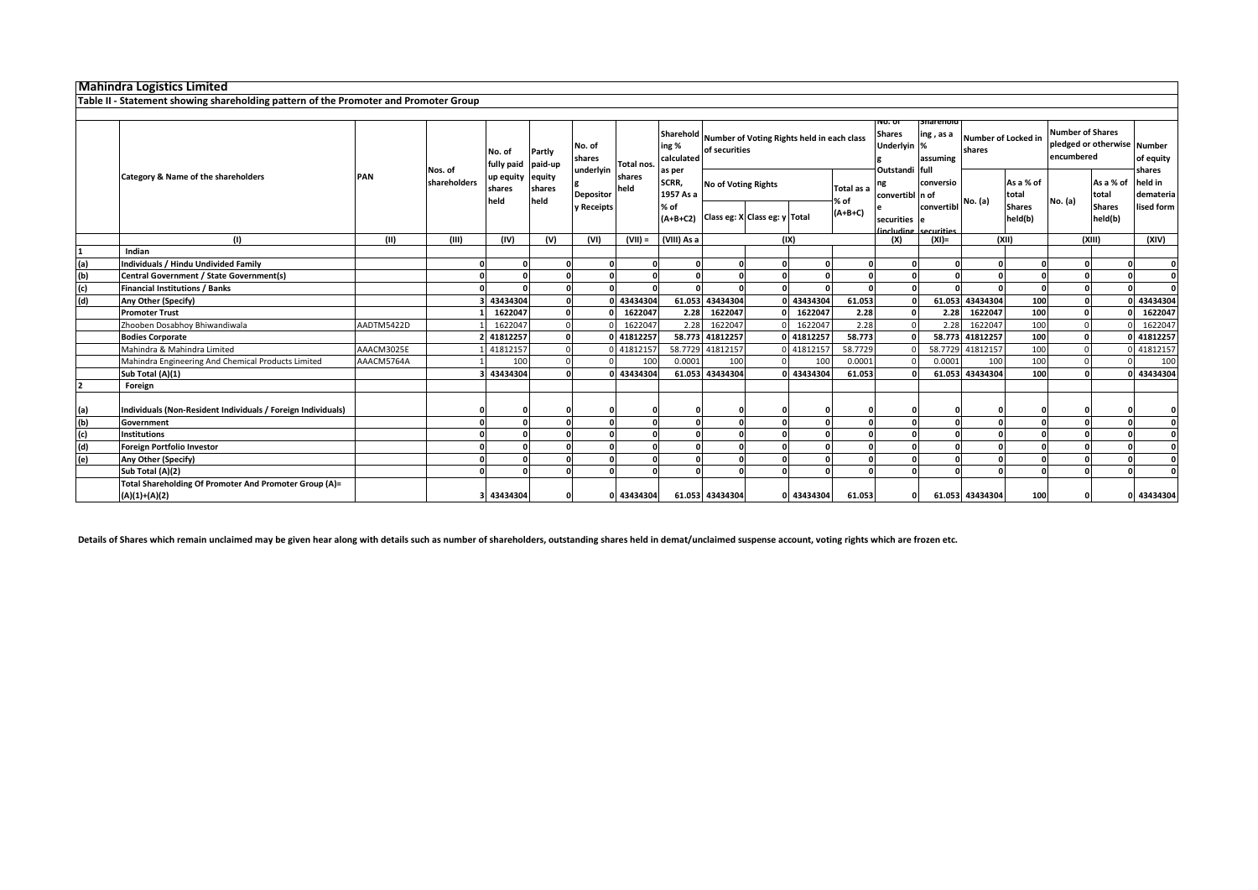**Table II - Statement showing shareholding pattern of the Promoter and Promoter Group**

| <b>Number of Shares</b><br>pledged or otherwise Number<br>encumbered<br>of equity<br>shares |
|---------------------------------------------------------------------------------------------|
|                                                                                             |
| held in<br>As a % of<br>total<br>demateria                                                  |
| <b>Shares</b><br>lised form<br>held(b)                                                      |
| (XIV)                                                                                       |
|                                                                                             |
|                                                                                             |
|                                                                                             |
|                                                                                             |
| 43434304                                                                                    |
| 1622047                                                                                     |
| 1622047                                                                                     |
| 41812257                                                                                    |
| 41812157                                                                                    |
| 100                                                                                         |
| 43434304                                                                                    |
|                                                                                             |
|                                                                                             |
| O                                                                                           |
|                                                                                             |
|                                                                                             |
|                                                                                             |
|                                                                                             |
| 0 43434304                                                                                  |
| No. (a)<br>(X  )                                                                            |

**Details of Shares which remain unclaimed may be given hear along with details such as number of shareholders, outstanding shares held in demat/unclaimed suspense account, voting rights which are frozen etc.**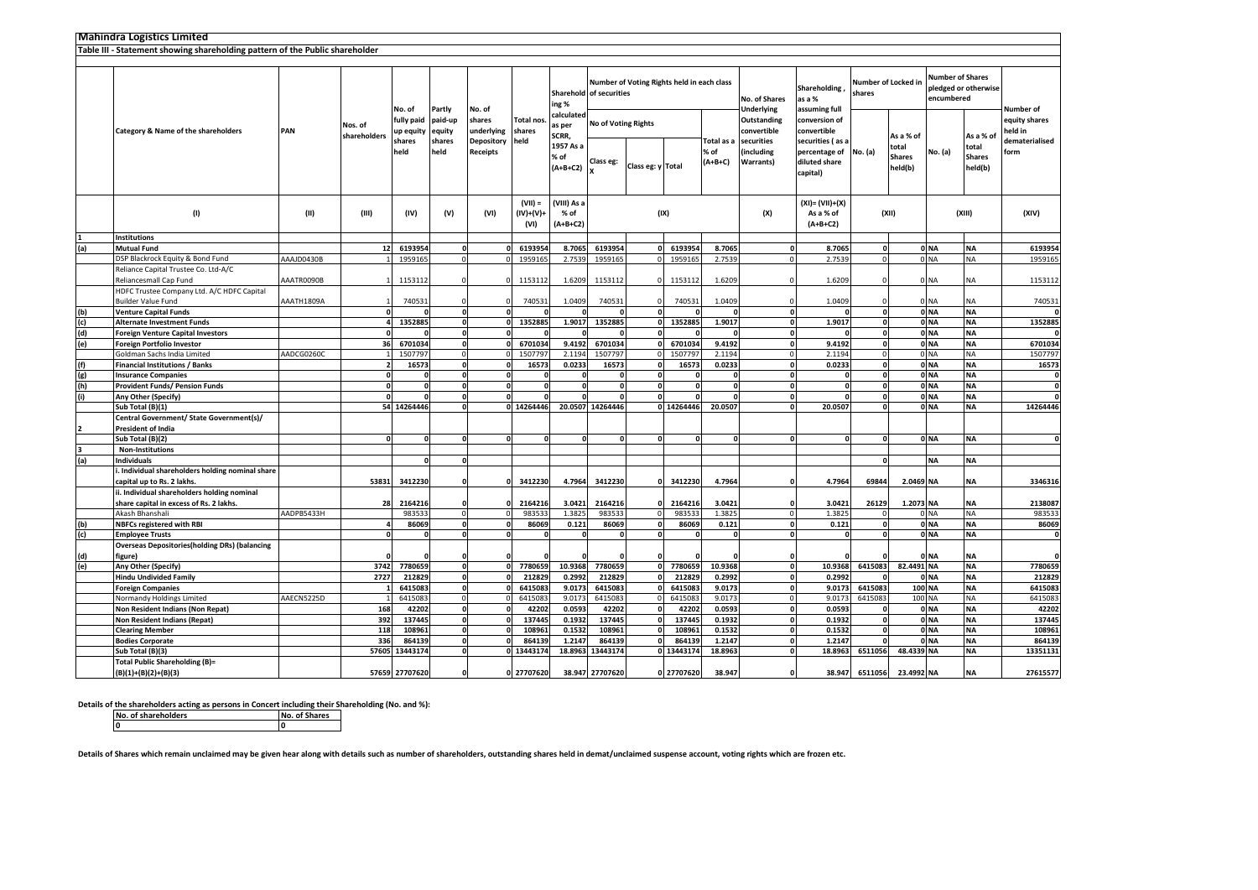|     | <b>Mahindra Logistics Limited</b>                                            |            |              |                         |                             |                                |                                |                                          |                            |                   |                                            |                               |                                                 |                                                                |                               |                                                |                                       |                                                |                          |
|-----|------------------------------------------------------------------------------|------------|--------------|-------------------------|-----------------------------|--------------------------------|--------------------------------|------------------------------------------|----------------------------|-------------------|--------------------------------------------|-------------------------------|-------------------------------------------------|----------------------------------------------------------------|-------------------------------|------------------------------------------------|---------------------------------------|------------------------------------------------|--------------------------|
|     | Table III - Statement showing shareholding pattern of the Public shareholder |            |              |                         |                             |                                |                                |                                          |                            |                   |                                            |                               |                                                 |                                                                |                               |                                                |                                       |                                                |                          |
|     |                                                                              |            |              |                         |                             |                                |                                |                                          |                            |                   |                                            |                               |                                                 |                                                                |                               |                                                |                                       |                                                |                          |
|     |                                                                              |            |              | No. of                  |                             |                                |                                | Sharehold of securities<br>ing %         |                            |                   | Number of Voting Rights held in each class |                               | No. of Shares                                   | Shareholding<br>as a %                                         | Number of Locked in<br>shares |                                                | <b>Number of Shares</b><br>encumbered | pledged or otherwise                           | Number of                |
|     | Category & Name of the shareholders<br>PAN                                   |            | Nos. of      | fully paid<br>up equity | Partly<br>paid-up<br>equity | No. of<br>shares<br>underlying | <b>Total nos</b><br>shares     | calculated<br>as per                     | <b>No of Voting Rights</b> |                   |                                            |                               | <b>Underlying</b><br>Outstanding<br>convertible | assuming full<br>conversion of<br>convertible                  |                               |                                                |                                       |                                                | equity shares<br>held in |
|     |                                                                              |            | shareholders | shares<br>held          | shares<br>held              | Depository<br><b>Receipts</b>  | held                           | SCRR,<br>1957 As a<br>% of<br>$(A+B+C2)$ | Class eg:                  | Class eg: y Total |                                            | Total as a<br>% of<br>(A+B+C) | securities<br>including<br>Warrants)            | securities (as a<br>percentage of<br>diluted share<br>capital) | No. (a)                       | As a % of<br>total<br><b>Shares</b><br>held(b) | No. (a)                               | As a % of<br>total<br><b>Shares</b><br>held(b) | dematerialised<br>form   |
|     | (1)                                                                          | (III)      | (III)        | (IV)                    | (V)                         | (VI)                           | $(VII) =$<br>(IV)+(V)+<br>(VI) | (VIII) As a<br>% of<br>$(A+B+C2)$        |                            | (IX)              |                                            |                               | (X)                                             | $(XI) = (VII)+(X)$<br>As a % of<br>$(A+B+C2)$                  |                               | (XII)                                          |                                       | (XIII)                                         | (XIV)                    |
|     | <b>Institutions</b>                                                          |            |              |                         |                             |                                |                                |                                          |                            |                   |                                            |                               |                                                 |                                                                |                               |                                                |                                       |                                                |                          |
| (a) | <b>Mutual Fund</b>                                                           |            | 12           | 6193954                 | C                           |                                | 6193954                        | 8.7065                                   | 6193954                    |                   | 6193954                                    | 8.7065                        | $\mathbf{0}$                                    | 8.7065                                                         | O                             |                                                | 0 <sub>NA</sub>                       | <b>NA</b>                                      | 6193954                  |
|     | DSP Blackrock Equity & Bond Fund                                             | AAAJD0430B |              | 1959165                 | $\Omega$                    |                                | 1959165                        | 2.7539                                   | 1959165                    |                   | 1959165                                    | 2.7539                        | $\overline{0}$                                  | 2.7539                                                         | $\Omega$                      |                                                | 0 NA                                  | <b>NA</b>                                      | 1959165                  |
|     | Reliance Capital Trustee Co. Ltd-A/C                                         |            |              |                         |                             |                                |                                |                                          |                            |                   |                                            |                               |                                                 |                                                                |                               |                                                |                                       |                                                |                          |
|     | Reliancesmall Cap Fund                                                       | AAATR0090B |              | 1153112                 |                             |                                | 1153112                        | 1.6209                                   | 1153112                    |                   | 1153112                                    | 1.6209                        | $\Omega$                                        | 1.6209                                                         |                               |                                                | 0 NA                                  | NA                                             | 1153112                  |
|     | HDFC Trustee Company Ltd. A/C HDFC Capital                                   |            |              |                         |                             |                                |                                |                                          |                            |                   |                                            |                               |                                                 |                                                                |                               |                                                |                                       |                                                |                          |
|     | <b>Builder Value Fund</b>                                                    | AAATH1809A |              | 740531                  |                             |                                | 740531                         | 1.0409                                   | 740531                     |                   | 740531                                     | 1.0409                        | $\Omega$                                        | 1.0409                                                         |                               |                                                | 0 NA                                  | ΝA                                             | 740531                   |
| (b) | <b>Venture Capital Funds</b>                                                 |            |              |                         | $\Omega$                    |                                |                                |                                          |                            | $\Omega$          |                                            | $\Omega$                      | o                                               | $\Omega$                                                       | <sup>0</sup>                  |                                                | 0 <sub>NA</sub>                       | <b>NA</b>                                      |                          |
| (c) | <b>Alternate Investment Funds</b>                                            |            |              | 1352885                 | $\mathbf 0$                 |                                | 1352885                        | 1.9017                                   | 1352885                    | $\Omega$          | 1352885                                    | 1.9017                        |                                                 | $\mathbf{0}$<br>1.9017                                         | 0                             |                                                | 0 <sub>NA</sub>                       | <b>NA</b>                                      | 1352885                  |
| (d) | <b>Foreign Venture Capital Investors</b>                                     |            |              |                         | $\mathbf{0}$                |                                |                                | $\mathbf{0}$                             |                            | $\Omega$          |                                            |                               |                                                 | οl<br>$\Omega$                                                 | 0                             |                                                | 0 <sub>NA</sub>                       | <b>NA</b>                                      |                          |
| (e) | Foreign Portfolio Investor                                                   |            | 36           | 6701034                 | $\Omega$                    |                                | 6701034                        | 9.4192                                   | 6701034                    | U                 | 6701034                                    | 9.4192                        | $\mathbf{0}$                                    | 9.4192                                                         | 0                             |                                                | 0 <sub>NA</sub>                       | <b>NA</b>                                      | 6701034                  |
|     | Goldman Sachs India Limited                                                  | AADCG0260C |              | 1507797                 | $\Omega$                    |                                | 1507797                        | 2.1194                                   | 1507797                    | $\Omega$          | 1507797                                    | 2.1194                        | $\Omega$                                        | 2.1194                                                         | $\Omega$                      |                                                | 0 NA                                  | <b>NA</b>                                      | 1507797                  |
| (f) | <b>Financial Institutions / Banks</b>                                        |            |              | 16573                   | $\mathbf{0}$                |                                | 16573                          | 0.0233                                   | 16573                      | $\Omega$          | 16573                                      | 0.0233                        | $\mathbf{0}$                                    | 0.0233                                                         | O                             |                                                | 0 <sub>NA</sub>                       | <b>NA</b>                                      | 16573                    |
| (g) | <b>Insurance Companies</b>                                                   |            |              |                         | $\mathbf{0}$                |                                |                                | $\mathbf{0}$                             | 0                          | $\mathbf{o}$      | C                                          | $\Omega$                      | $\mathbf{0}$                                    | 0                                                              | $\mathbf{0}$                  |                                                | 0 <sub>NA</sub>                       | <b>NA</b>                                      | 0                        |
| (h) | <b>Provident Funds/ Pension Funds</b>                                        |            |              |                         | C                           |                                |                                | $\mathbf{0}$                             | 0                          | $\Omega$          |                                            | $\Omega$                      | $\Omega$                                        | 0                                                              |                               |                                                | 0 <sub>NA</sub>                       | <b>NA</b>                                      | $\mathbf{0}$             |
| (i) | Any Other (Specify)                                                          |            |              |                         | $\Omega$                    |                                |                                | $\Omega$                                 | $\Omega$                   | <sup>0</sup>      |                                            | $\Omega$                      | $\Omega$                                        | 0                                                              | 0                             |                                                | 0 <sub>NA</sub>                       | <b>NA</b>                                      | <sup>0</sup>             |
|     | Sub Total (B)(1)                                                             |            |              | 54 14264446             | $\Omega$                    |                                | 0 14264446                     |                                          | 20.0507 14264446           |                   | 0 14264446                                 | 20.0507                       |                                                 | $\mathbf{0}$<br>20.0507                                        | O                             |                                                | 0 <sub>NA</sub>                       | <b>NA</b>                                      | 14264446                 |
|     | Central Government/ State Government(s)/<br><b>President of India</b>        |            |              |                         |                             |                                |                                |                                          |                            |                   |                                            |                               |                                                 |                                                                |                               |                                                |                                       |                                                |                          |
|     | Sub Total (B)(2)                                                             |            |              | n                       | $\sqrt{2}$                  |                                |                                | $\Omega$                                 | $\Omega$                   | $\sqrt{2}$        | n                                          | 0                             |                                                 | οI<br>$\Omega$                                                 | 0                             |                                                | 0 NA                                  | <b>NA</b>                                      | $\mathbf 0$              |
|     | <b>Non-Institutions</b>                                                      |            |              |                         |                             |                                |                                |                                          |                            |                   |                                            |                               |                                                 |                                                                |                               |                                                |                                       |                                                |                          |
| (a) | <b>Individuals</b>                                                           |            |              | $\Omega$                | $\mathbf 0$                 |                                |                                |                                          |                            |                   |                                            |                               |                                                 |                                                                | 0                             |                                                | NA                                    | <b>NA</b>                                      |                          |
|     | Individual shareholders holding nominal share<br>capital up to Rs. 2 lakhs.  |            | 53831        | 3412230                 |                             |                                | 3412230                        | 4.7964                                   | 3412230                    |                   | 3412230                                    | 4.7964                        | O                                               | 4.7964                                                         | 69844                         | 2.0469 NA                                      |                                       | <b>NA</b>                                      | 3346316                  |
|     | ii. Individual shareholders holding nominal                                  |            |              |                         |                             |                                |                                |                                          |                            |                   |                                            |                               |                                                 |                                                                |                               |                                                |                                       |                                                |                          |
|     | share capital in excess of Rs. 2 lakhs.                                      |            | 28           | 2164216                 |                             |                                | 2164216                        | 3.0421                                   | 2164216                    |                   | 2164216                                    | 3.0421                        | $\Omega$                                        | 3.0421                                                         | 26129                         | 1.2073 NA                                      |                                       | <b>NA</b>                                      | 2138087                  |
|     | Akash Bhanshali                                                              | AADPB5433H |              | 983533                  | $\Omega$                    |                                | 983533                         | 1.3825                                   | 983533                     | $\mathbf 0$       | 983533                                     | 1.3825                        | $\circ$                                         | 1.3825                                                         | $\Omega$                      |                                                | 0 NA                                  | <b>NA</b>                                      | 983533                   |
| (b) | <b>NBFCs registered with RBI</b>                                             |            |              | 86069                   | $\Omega$                    |                                | 86069                          | 0.121                                    | 86069                      | $\Omega$          | 86069                                      | 0.121                         |                                                 | 0<br>0.121                                                     | <sup>0</sup>                  |                                                | 0 <sub>NA</sub>                       | <b>NA</b>                                      | 86069                    |
| (c) | <b>Employee Trusts</b>                                                       |            |              |                         | $\mathbf 0$                 |                                |                                | $\mathbf{0}$                             | 0                          | $\Omega$          | O                                          | $\Omega$                      |                                                 | 0<br>$\mathbf 0$                                               | O                             |                                                | 0 NA                                  | <b>NA</b>                                      | $\mathbf 0$              |
|     | <b>Overseas Depositories(holding DRs) (balancing</b>                         |            |              |                         |                             |                                |                                |                                          |                            |                   |                                            |                               |                                                 |                                                                |                               |                                                |                                       |                                                |                          |
| (d) | figure)                                                                      |            |              |                         |                             |                                |                                |                                          |                            |                   |                                            |                               | $\Omega$                                        |                                                                |                               |                                                | 0 NA                                  | <b>NA</b>                                      | $\Omega$                 |
| (e) | Any Other (Specify)                                                          |            | 3742         | 7780659                 | $\Omega$                    |                                | 7780659                        | 10.9368                                  | 7780659                    |                   | 7780659                                    | 10.9368                       | $\mathbf{0}$                                    | 10.9368                                                        | 6415083                       | 82.4491 NA                                     |                                       | <b>NA</b>                                      | 7780659                  |
|     | <b>Hindu Undivided Family</b>                                                |            | 2727         | 212829                  | $\mathbf 0$                 |                                | 212829                         | 0.2992                                   | 212829                     |                   | 212829                                     | 0.2992                        | $\mathbf 0$                                     | 0.2992                                                         |                               |                                                | 0 <sub>NA</sub>                       | <b>NA</b>                                      | 212829                   |
|     | <b>Foreign Companies</b>                                                     |            |              | 6415083                 | $\Omega$                    |                                | 6415083                        | 9.0173                                   | 6415083                    |                   | 6415083                                    | 9.0173                        |                                                 | οI<br>9.0173                                                   | 6415083                       |                                                | 100 NA                                | <b>NA</b>                                      | 6415083                  |
|     | Normandy Holdings Limited                                                    | AAECN5225D |              | 6415083                 | C                           |                                | 6415083                        | 9.0173                                   | 6415083                    |                   | 6415083                                    | 9.0173                        | $\Omega$                                        | 9.0173                                                         | 6415083                       |                                                | 100 NA                                | <b>NA</b>                                      | 6415083                  |
|     | Non Resident Indians (Non Repat)                                             |            | 168          | 42202                   | $\Omega$                    |                                | 42202                          | 0.0593                                   | 42202                      |                   | 4220                                       | 0.0593                        |                                                 | 0.0593<br>οI                                                   | O                             |                                                | 0 <sub>NA</sub>                       | <b>NA</b>                                      | 42202                    |
|     | Non Resident Indians (Repat)                                                 |            | 392          | 137445                  | $\Omega$                    |                                | 137445                         | 0.1932                                   | 137445                     |                   | 137445                                     | 0.1932                        | $\Omega$                                        | 0.1932                                                         | 0                             |                                                | 0 <sub>NA</sub>                       | <b>NA</b>                                      | 137445                   |
|     | <b>Clearing Member</b>                                                       |            | 118          | 108961                  | $\mathbf 0$<br>$\Omega$     |                                | 108961                         | 0.1532                                   | 108961                     | <sup>0</sup>      | 10896                                      | 0.1532                        | $\mathbf{0}$                                    | 0.1532                                                         | $\mathbf{0}$                  |                                                | 0 <sub>NA</sub>                       | <b>NA</b>                                      | 108961                   |
|     | <b>Bodies Corporate</b>                                                      |            | 336          | 864139                  | $\Omega$                    |                                | 864139                         | 1.2147                                   | 864139                     |                   | 864139                                     | 1.2147                        | $\mathbf{0}$                                    | 1.2147                                                         |                               |                                                | 0 NA                                  | <b>NA</b>                                      | 864139                   |
|     | Sub Total (B)(3)<br><b>Total Public Shareholding (B)=</b>                    |            | 57605        | 13443174                |                             |                                | 0 13443174                     | 18.8963                                  | 13443174                   |                   | 0 13443174                                 | 18.8963                       |                                                 | οI<br>18.8963                                                  | 6511056                       | 48.4339 NA                                     |                                       | <b>NA</b>                                      | 13351131                 |
|     | $(B)(1)+(B)(2)+(B)(3)$                                                       |            |              | 57659 27707620          |                             |                                | 0 27707620                     |                                          | 38.947 27707620            |                   | 0 27707620                                 | 38.947                        | $\Omega$                                        | 38.947                                                         | 6511056                       | 23.4992 NA                                     |                                       | <b>NA</b>                                      | 27615577                 |

**Details of the shareholders acting as persons in Concert including their Shareholding (No. and %):**<br>No. of Shares

**No. of shareholders No. of Shares 0 0**

**Details of Shares which remain unclaimed may be given hear along with details such as number of shareholders, outstanding shares held in demat/unclaimed suspense account, voting rights which are frozen etc.**